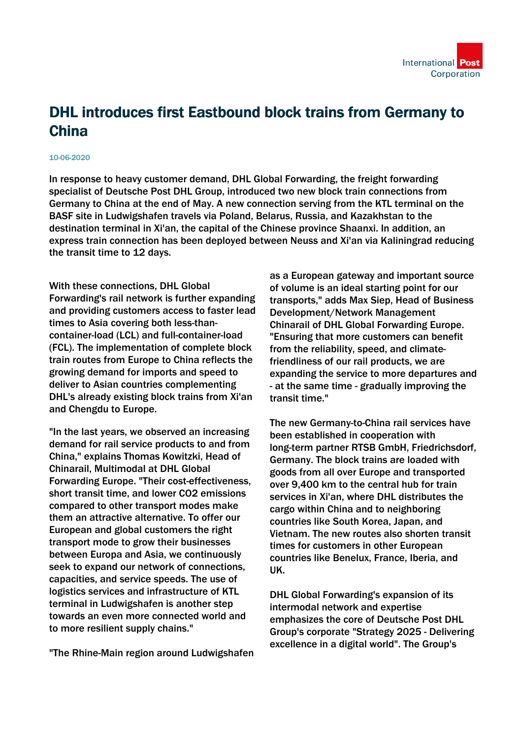## DHL introduces first Eastbound block trains from Germany to China

## 10-06-2020

In response to heavy customer demand, DHL Global Forwarding, the freight forwarding specialist of Deutsche Post DHL Group, introduced two new block train connections from Germany to China at the end of May. A new connection serving from the KTL terminal on the BASF site in Ludwigshafen travels via Poland, Belarus, Russia, and Kazakhstan to the destination terminal in Xi'an, the capital of the Chinese province Shaanxi. In addition, an express train connection has been deployed between Neuss and Xi'an via Kaliningrad reducing the transit time to 12 days.

With these connections, DHL Global Forwarding's rail network is further expanding and providing customers access to faster lead times to Asia covering both less-thancontainer-load (LCL) and full-container-load (FCL). The implementation of complete block train routes from Europe to China reflects the growing demand for imports and speed to deliver to Asian countries complementing DHL's already existing block trains from Xi'an and Chengdu to Europe.

"In the last years, we observed an increasing demand for rail service products to and from China," explains Thomas Kowitzki, Head of Chinarail, Multimodal at DHL Global Forwarding Europe. "Their cost-effectiveness, short transit time, and lower CO2 emissions compared to other transport modes make them an attractive alternative. To offer our European and global customers the right transport mode to grow their businesses between Europa and Asia, we continuously seek to expand our network of connections, capacities, and service speeds. The use of logistics services and infrastructure of KTL terminal in Ludwigshafen is another step towards an even more connected world and to more resilient supply chains."

"The Rhine-Main region around Ludwigshafen

as a European gateway and important source of volume is an ideal starting point for our transports," adds Max Siep, Head of Business Development/Network Management Chinarail of DHL Global Forwarding Europe. "Ensuring that more customers can benefit from the reliability, speed, and climatefriendliness of our rail products, we are expanding the service to more departures and - at the same time - gradually improving the transit time."

The new Germany-to-China rail services have been established in cooperation with long-term partner RTSB GmbH, Friedrichsdorf, Germany. The block trains are loaded with goods from all over Europe and transported over 9,400 km to the central hub for train services in Xi'an, where DHL distributes the cargo within China and to neighboring countries like South Korea, Japan, and Vietnam. The new routes also shorten transit times for customers in other European countries like Benelux, France, Iberia, and UK.

DHL Global Forwarding's expansion of its intermodal network and expertise emphasizes the core of Deutsche Post DHL Group's corporate "Strategy 2025 - Delivering excellence in a digital world". The Group's